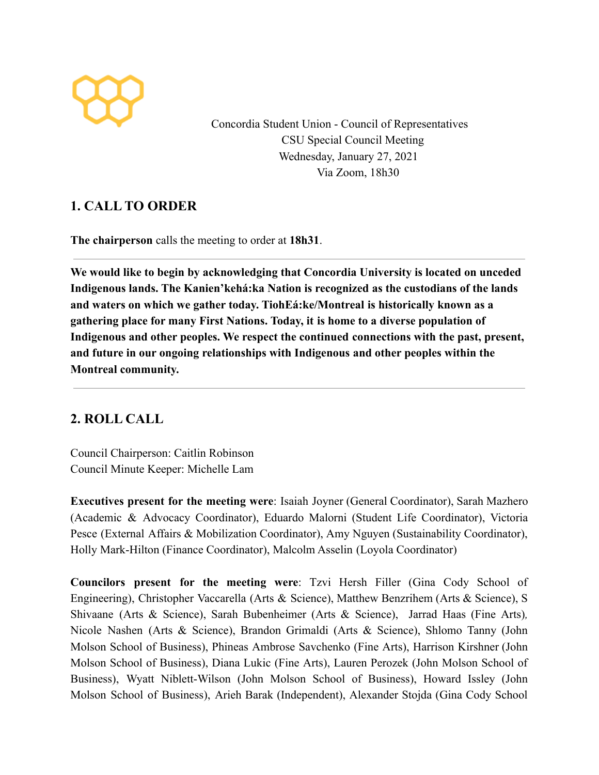

Concordia Student Union - Council of Representatives CSU Special Council Meeting Wednesday, January 27, 2021 Via Zoom, 18h30

## **1. CALL TO ORDER**

**The chairperson** calls the meeting to order at **18h31**.

**We would like to begin by acknowledging that Concordia University is located on unceded Indigenous lands. The Kanien'kehá:ka Nation is recognized as the custodians of the lands and waters on which we gather today. TiohEá:ke/Montreal is historically known as a gathering place for many First Nations. Today, it is home to a diverse population of Indigenous and other peoples. We respect the continued connections with the past, present, and future in our ongoing relationships with Indigenous and other peoples within the Montreal community.**

# **2. ROLL CALL**

Council Chairperson: Caitlin Robinson Council Minute Keeper: Michelle Lam

**Executives present for the meeting were**: Isaiah Joyner (General Coordinator), Sarah Mazhero (Academic & Advocacy Coordinator), Eduardo Malorni (Student Life Coordinator), Victoria Pesce (External Affairs & Mobilization Coordinator), Amy Nguyen (Sustainability Coordinator), Holly Mark-Hilton (Finance Coordinator), Malcolm Asselin (Loyola Coordinator)

**Councilors present for the meeting were**: Tzvi Hersh Filler (Gina Cody School of Engineering), Christopher Vaccarella (Arts & Science), Matthew Benzrihem (Arts & Science), S Shivaane (Arts & Science), Sarah Bubenheimer (Arts & Science), Jarrad Haas (Fine Arts)*,* Nicole Nashen (Arts & Science), Brandon Grimaldi (Arts & Science), Shlomo Tanny (John Molson School of Business), Phineas Ambrose Savchenko (Fine Arts), Harrison Kirshner (John Molson School of Business), Diana Lukic (Fine Arts), Lauren Perozek (John Molson School of Business), Wyatt Niblett-Wilson (John Molson School of Business), Howard Issley (John Molson School of Business), Arieh Barak (Independent), Alexander Stojda (Gina Cody School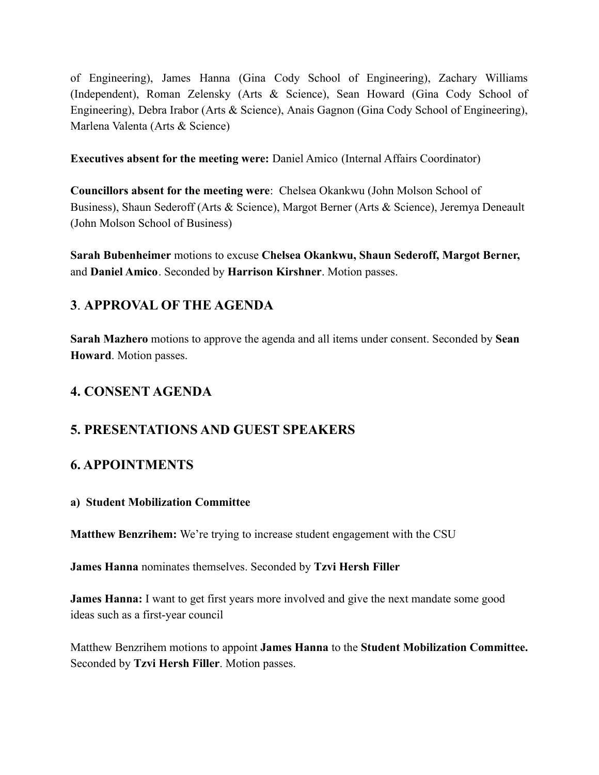of Engineering), James Hanna (Gina Cody School of Engineering), Zachary Williams (Independent), Roman Zelensky (Arts & Science), Sean Howard (Gina Cody School of Engineering), Debra Irabor (Arts & Science), Anais Gagnon (Gina Cody School of Engineering), Marlena Valenta (Arts & Science)

**Executives absent for the meeting were:** Daniel Amico (Internal Affairs Coordinator)

**Councillors absent for the meeting were**: Chelsea Okankwu (John Molson School of Business), Shaun Sederoff (Arts & Science), Margot Berner (Arts & Science), Jeremya Deneault (John Molson School of Business)

**Sarah Bubenheimer** motions to excuse **Chelsea Okankwu, Shaun Sederoff, Margot Berner,** and **Daniel Amico**. Seconded by **Harrison Kirshner**. Motion passes.

## **3**. **APPROVAL OF THE AGENDA**

**Sarah Mazhero** motions to approve the agenda and all items under consent. Seconded by **Sean Howard**. Motion passes.

# **4. CONSENT AGENDA**

### **5. PRESENTATIONS AND GUEST SPEAKERS**

### **6. APPOINTMENTS**

#### **a) Student Mobilization Committee**

**Matthew Benzrihem:** We're trying to increase student engagement with the CSU

**James Hanna** nominates themselves. Seconded by **Tzvi Hersh Filler**

**James Hanna:** I want to get first years more involved and give the next mandate some good ideas such as a first-year council

Matthew Benzrihem motions to appoint **James Hanna** to the **Student Mobilization Committee.** Seconded by **Tzvi Hersh Filler**. Motion passes.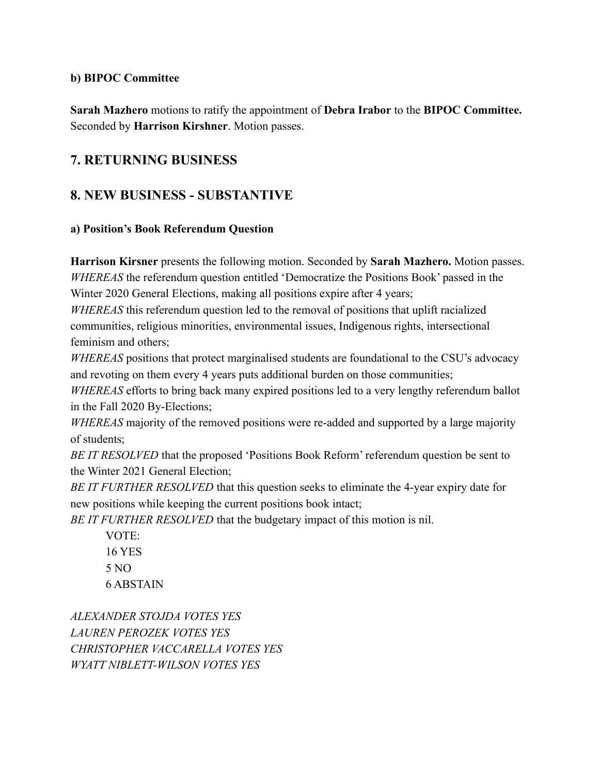#### **b) BIPOC Committee**

**Sarah Mazhero** motions to ratify the appointment of **Debra Irabor** to the **BIPOC Committee.** Seconded by **Harrison Kirshner**. Motion passes.

### **7. RETURNING BUSINESS**

### **8. NEW BUSINESS - SUBSTANTIVE**

#### **a) Position's Book Referendum Question**

**Harrison Kirsner** presents the following motion. Seconded by **Sarah Mazhero.** Motion passes. *WHEREAS* the referendum question entitled 'Democratize the Positions Book' passed in the Winter 2020 General Elections, making all positions expire after 4 years;

*WHEREAS* this referendum question led to the removal of positions that uplift racialized communities, religious minorities, environmental issues, Indigenous rights, intersectional feminism and others;

*WHEREAS* positions that protect marginalised students are foundational to the CSU's advocacy and revoting on them every 4 years puts additional burden on those communities;

*WHEREAS* efforts to bring back many expired positions led to a very lengthy referendum ballot in the Fall 2020 By-Elections;

*WHEREAS* majority of the removed positions were re-added and supported by a large majority of students;

*BE IT RESOLVED* that the proposed 'Positions Book Reform' referendum question be sent to the Winter 2021 General Election;

*BE IT FURTHER RESOLVED* that this question seeks to eliminate the 4-year expiry date for new positions while keeping the current positions book intact;

*BE IT FURTHER RESOLVED* that the budgetary impact of this motion is nil.

VOTE: 16 YES 5 NO 6 ABSTAIN

*ALEXANDER STOJDA VOTES YES LAUREN PEROZEK VOTES YES CHRISTOPHER VACCARELLA VOTES YES WYATT NIBLETT-WILSON VOTES YES*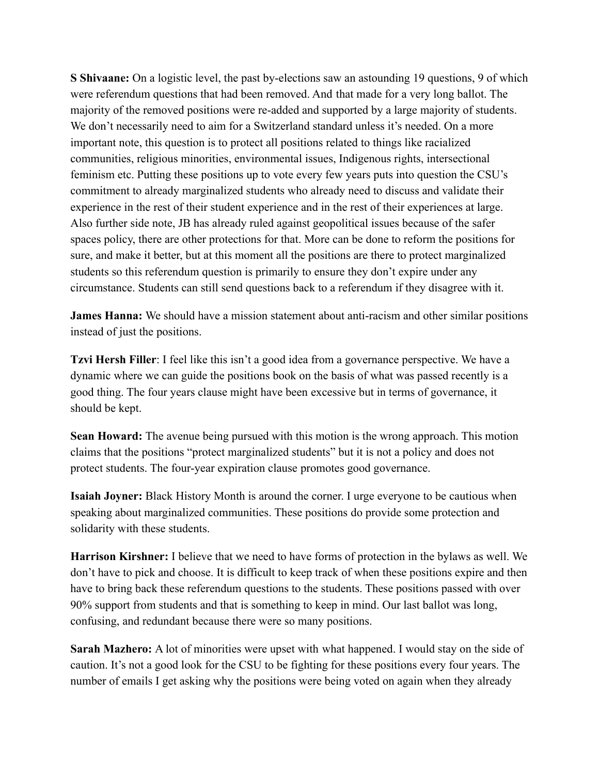**S Shivaane:** On a logistic level, the past by-elections saw an astounding 19 questions, 9 of which were referendum questions that had been removed. And that made for a very long ballot. The majority of the removed positions were re-added and supported by a large majority of students. We don't necessarily need to aim for a Switzerland standard unless it's needed. On a more important note, this question is to protect all positions related to things like racialized communities, religious minorities, environmental issues, Indigenous rights, intersectional feminism etc. Putting these positions up to vote every few years puts into question the CSU's commitment to already marginalized students who already need to discuss and validate their experience in the rest of their student experience and in the rest of their experiences at large. Also further side note, JB has already ruled against geopolitical issues because of the safer spaces policy, there are other protections for that. More can be done to reform the positions for sure, and make it better, but at this moment all the positions are there to protect marginalized students so this referendum question is primarily to ensure they don't expire under any circumstance. Students can still send questions back to a referendum if they disagree with it.

**James Hanna:** We should have a mission statement about anti-racism and other similar positions instead of just the positions.

**Tzvi Hersh Filler**: I feel like this isn't a good idea from a governance perspective. We have a dynamic where we can guide the positions book on the basis of what was passed recently is a good thing. The four years clause might have been excessive but in terms of governance, it should be kept.

**Sean Howard:** The avenue being pursued with this motion is the wrong approach. This motion claims that the positions "protect marginalized students" but it is not a policy and does not protect students. The four-year expiration clause promotes good governance.

**Isaiah Joyner:** Black History Month is around the corner. I urge everyone to be cautious when speaking about marginalized communities. These positions do provide some protection and solidarity with these students.

**Harrison Kirshner:** I believe that we need to have forms of protection in the bylaws as well. We don't have to pick and choose. It is difficult to keep track of when these positions expire and then have to bring back these referendum questions to the students. These positions passed with over 90% support from students and that is something to keep in mind. Our last ballot was long, confusing, and redundant because there were so many positions.

**Sarah Mazhero:** A lot of minorities were upset with what happened. I would stay on the side of caution. It's not a good look for the CSU to be fighting for these positions every four years. The number of emails I get asking why the positions were being voted on again when they already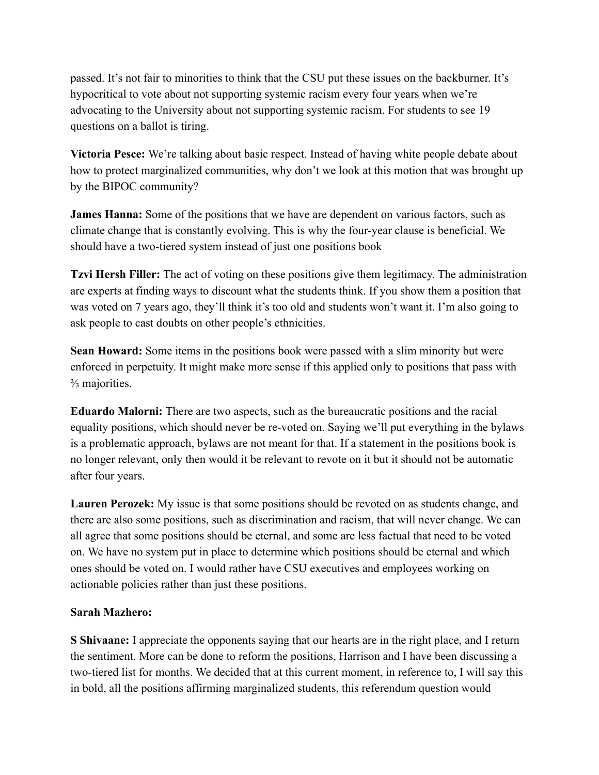passed. It's not fair to minorities to think that the CSU put these issues on the backburner. It's hypocritical to vote about not supporting systemic racism every four years when we're advocating to the University about not supporting systemic racism. For students to see 19 questions on a ballot is tiring.

**Victoria Pesce:** We're talking about basic respect. Instead of having white people debate about how to protect marginalized communities, why don't we look at this motion that was brought up by the BIPOC community?

**James Hanna:** Some of the positions that we have are dependent on various factors, such as climate change that is constantly evolving. This is why the four-year clause is beneficial. We should have a two-tiered system instead of just one positions book

**Tzvi Hersh Filler:** The act of voting on these positions give them legitimacy. The administration are experts at finding ways to discount what the students think. If you show them a position that was voted on 7 years ago, they'll think it's too old and students won't want it. I'm also going to ask people to cast doubts on other people's ethnicities.

**Sean Howard:** Some items in the positions book were passed with a slim minority but were enforced in perpetuity. It might make more sense if this applied only to positions that pass with ⅔ majorities.

**Eduardo Malorni:** There are two aspects, such as the bureaucratic positions and the racial equality positions, which should never be re-voted on. Saying we'll put everything in the bylaws is a problematic approach, bylaws are not meant for that. If a statement in the positions book is no longer relevant, only then would it be relevant to revote on it but it should not be automatic after four years.

**Lauren Perozek:** My issue is that some positions should be revoted on as students change, and there are also some positions, such as discrimination and racism, that will never change. We can all agree that some positions should be eternal, and some are less factual that need to be voted on. We have no system put in place to determine which positions should be eternal and which ones should be voted on. I would rather have CSU executives and employees working on actionable policies rather than just these positions.

#### **Sarah Mazhero:**

**S Shivaane:** I appreciate the opponents saying that our hearts are in the right place, and I return the sentiment. More can be done to reform the positions, Harrison and I have been discussing a two-tiered list for months. We decided that at this current moment, in reference to, I will say this in bold, all the positions affirming marginalized students, this referendum question would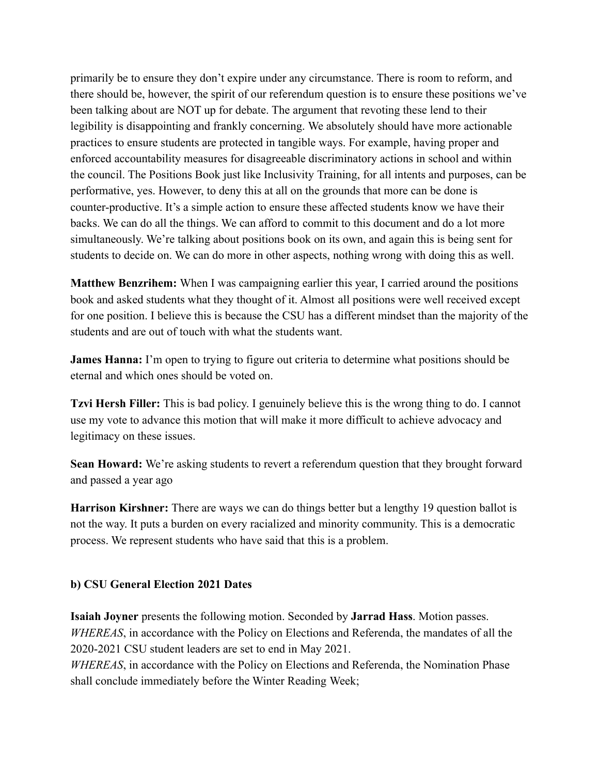primarily be to ensure they don't expire under any circumstance. There is room to reform, and there should be, however, the spirit of our referendum question is to ensure these positions we've been talking about are NOT up for debate. The argument that revoting these lend to their legibility is disappointing and frankly concerning. We absolutely should have more actionable practices to ensure students are protected in tangible ways. For example, having proper and enforced accountability measures for disagreeable discriminatory actions in school and within the council. The Positions Book just like Inclusivity Training, for all intents and purposes, can be performative, yes. However, to deny this at all on the grounds that more can be done is counter-productive. It's a simple action to ensure these affected students know we have their backs. We can do all the things. We can afford to commit to this document and do a lot more simultaneously. We're talking about positions book on its own, and again this is being sent for students to decide on. We can do more in other aspects, nothing wrong with doing this as well.

**Matthew Benzrihem:** When I was campaigning earlier this year, I carried around the positions book and asked students what they thought of it. Almost all positions were well received except for one position. I believe this is because the CSU has a different mindset than the majority of the students and are out of touch with what the students want.

**James Hanna:** I'm open to trying to figure out criteria to determine what positions should be eternal and which ones should be voted on.

**Tzvi Hersh Filler:** This is bad policy. I genuinely believe this is the wrong thing to do. I cannot use my vote to advance this motion that will make it more difficult to achieve advocacy and legitimacy on these issues.

**Sean Howard:** We're asking students to revert a referendum question that they brought forward and passed a year ago

**Harrison Kirshner:** There are ways we can do things better but a lengthy 19 question ballot is not the way. It puts a burden on every racialized and minority community. This is a democratic process. We represent students who have said that this is a problem.

#### **b) CSU General Election 2021 Dates**

**Isaiah Joyner** presents the following motion. Seconded by **Jarrad Hass**. Motion passes. *WHEREAS*, in accordance with the Policy on Elections and Referenda, the mandates of all the 2020-2021 CSU student leaders are set to end in May 2021.

*WHEREAS*, in accordance with the Policy on Elections and Referenda, the Nomination Phase shall conclude immediately before the Winter Reading Week;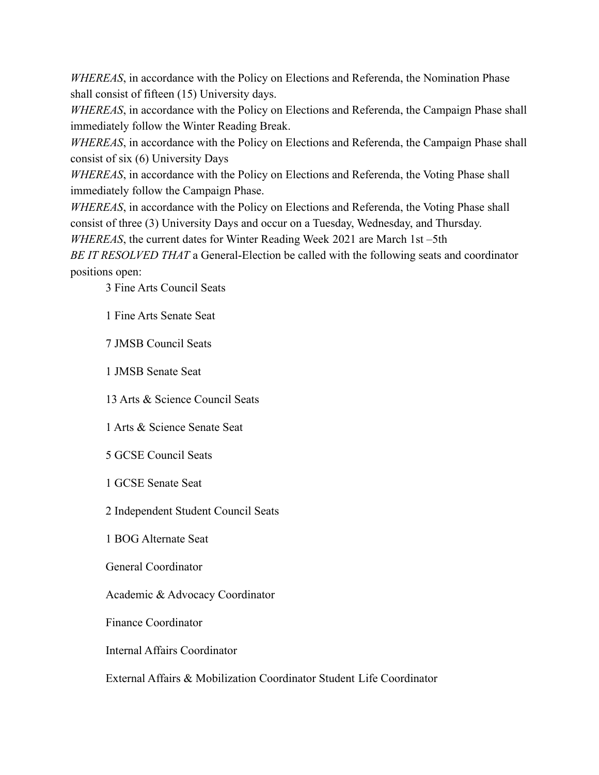*WHEREAS*, in accordance with the Policy on Elections and Referenda, the Nomination Phase shall consist of fifteen (15) University days.

*WHEREAS*, in accordance with the Policy on Elections and Referenda, the Campaign Phase shall immediately follow the Winter Reading Break.

*WHEREAS*, in accordance with the Policy on Elections and Referenda, the Campaign Phase shall consist of six (6) University Days

*WHEREAS*, in accordance with the Policy on Elections and Referenda, the Voting Phase shall immediately follow the Campaign Phase.

*WHEREAS*, in accordance with the Policy on Elections and Referenda, the Voting Phase shall consist of three (3) University Days and occur on a Tuesday, Wednesday, and Thursday.

*WHEREAS*, the current dates for Winter Reading Week 2021 are March 1st –5th

*BE IT RESOLVED THAT* a General-Election be called with the following seats and coordinator positions open:

3 Fine Arts Council Seats

1 Fine Arts Senate Seat

7 JMSB Council Seats

1 JMSB Senate Seat

13 Arts & Science Council Seats

1 Arts & Science Senate Seat

5 GCSE Council Seats

1 GCSE Senate Seat

2 Independent Student Council Seats

1 BOG Alternate Seat

General Coordinator

Academic & Advocacy Coordinator

Finance Coordinator

Internal Affairs Coordinator

External Affairs & Mobilization Coordinator Student Life Coordinator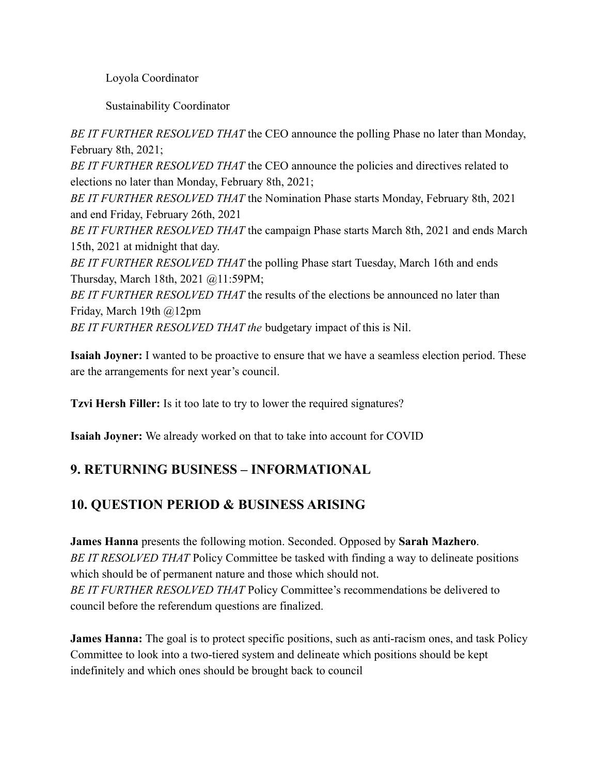Loyola Coordinator

Sustainability Coordinator

*BE IT FURTHER RESOLVED THAT* the CEO announce the polling Phase no later than Monday, February 8th, 2021;

*BE IT FURTHER RESOLVED THAT* the CEO announce the policies and directives related to elections no later than Monday, February 8th, 2021;

*BE IT FURTHER RESOLVED THAT* the Nomination Phase starts Monday, February 8th, 2021 and end Friday, February 26th, 2021

*BE IT FURTHER RESOLVED THAT* the campaign Phase starts March 8th, 2021 and ends March 15th, 2021 at midnight that day.

*BE IT FURTHER RESOLVED THAT* the polling Phase start Tuesday, March 16th and ends Thursday, March 18th, 2021 @11:59PM;

*BE IT FURTHER RESOLVED THAT* the results of the elections be announced no later than Friday, March 19th @12pm

*BE IT FURTHER RESOLVED THAT the* budgetary impact of this is Nil.

**Isaiah Joyner:** I wanted to be proactive to ensure that we have a seamless election period. These are the arrangements for next year's council.

**Tzvi Hersh Filler:** Is it too late to try to lower the required signatures?

**Isaiah Joyner:** We already worked on that to take into account for COVID

# **9. RETURNING BUSINESS – INFORMATIONAL**

# **10. QUESTION PERIOD & BUSINESS ARISING**

**James Hanna** presents the following motion. Seconded. Opposed by **Sarah Mazhero**. *BE IT RESOLVED THAT* Policy Committee be tasked with finding a way to delineate positions which should be of permanent nature and those which should not. *BE IT FURTHER RESOLVED THAT* Policy Committee's recommendations be delivered to council before the referendum questions are finalized.

**James Hanna:** The goal is to protect specific positions, such as anti-racism ones, and task Policy Committee to look into a two-tiered system and delineate which positions should be kept indefinitely and which ones should be brought back to council